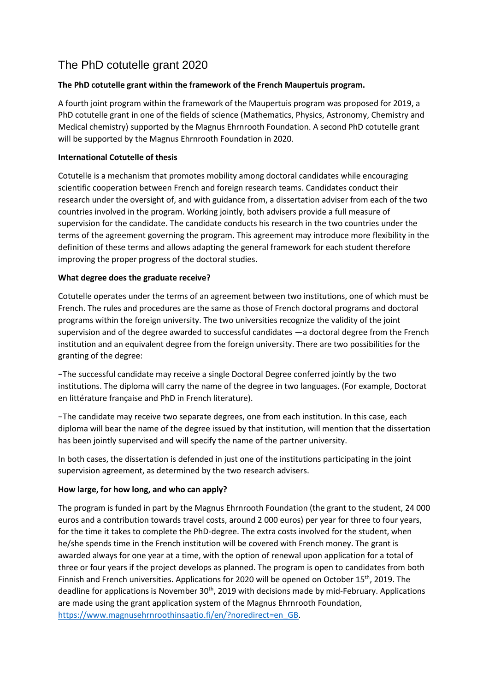# The PhD cotutelle grant 2020

## **The PhD cotutelle grant within the framework of the French Maupertuis program.**

A fourth joint program within the framework of the Maupertuis program was proposed for 2019, a PhD cotutelle grant in one of the fields of science (Mathematics, Physics, Astronomy, Chemistry and Medical chemistry) supported by the Magnus Ehrnrooth Foundation. A second PhD cotutelle grant will be supported by the Magnus Ehrnrooth Foundation in 2020.

### **International Cotutelle of thesis**

Cotutelle is a mechanism that promotes mobility among doctoral candidates while encouraging scientific cooperation between French and foreign research teams. Candidates conduct their research under the oversight of, and with guidance from, a dissertation adviser from each of the two countries involved in the program. Working jointly, both advisers provide a full measure of supervision for the candidate. The candidate conducts his research in the two countries under the terms of the agreement governing the program. This agreement may introduce more flexibility in the definition of these terms and allows adapting the general framework for each student therefore improving the proper progress of the doctoral studies.

### **What degree does the graduate receive?**

Cotutelle operates under the terms of an agreement between two institutions, one of which must be French. The rules and procedures are the same as those of French doctoral programs and doctoral programs within the foreign university. The two universities recognize the validity of the joint supervision and of the degree awarded to successful candidates —a doctoral degree from the French institution and an equivalent degree from the foreign university. There are two possibilities for the granting of the degree:

−The successful candidate may receive a single Doctoral Degree conferred jointly by the two institutions. The diploma will carry the name of the degree in two languages. (For example, Doctorat en littérature française and PhD in French literature).

−The candidate may receive two separate degrees, one from each institution. In this case, each diploma will bear the name of the degree issued by that institution, will mention that the dissertation has been jointly supervised and will specify the name of the partner university.

In both cases, the dissertation is defended in just one of the institutions participating in the joint supervision agreement, as determined by the two research advisers.

### **How large, for how long, and who can apply?**

The program is funded in part by the Magnus Ehrnrooth Foundation (the grant to the student, 24 000 euros and a contribution towards travel costs, around 2 000 euros) per year for three to four years, for the time it takes to complete the PhD-degree. The extra costs involved for the student, when he/she spends time in the French institution will be covered with French money. The grant is awarded always for one year at a time, with the option of renewal upon application for a total of three or four years if the project develops as planned. The program is open to candidates from both Finnish and French universities. Applications for 2020 will be opened on October 15<sup>th</sup>, 2019. The deadline for applications is November  $30<sup>th</sup>$ , 2019 with decisions made by mid-February. Applications are made using the grant application system of the Magnus Ehrnrooth Foundation, [https://www.magnusehrnroothinsaatio.fi/en/?noredirect=en\\_GB.](https://www.magnusehrnroothinsaatio.fi/en/?noredirect=en_GB)